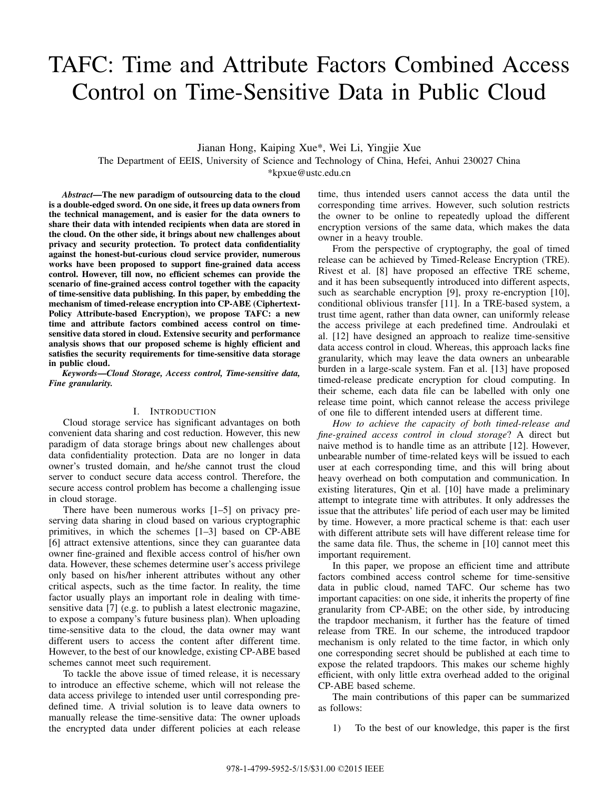# TAFC: Time and Attribute Factors Combined Access Control on Time-Sensitive Data in Public Cloud

Jianan Hong, Kaiping Xue\*, Wei Li, Yingjie Xue The Department of EEIS, University of Science and Technology of China, Hefei, Anhui 230027 China \*kpxue@ustc.edu.cn

*Abstract***—The new paradigm of outsourcing data to the cloud is a double-edged sword. On one side, it frees up data owners from the technical management, and is easier for the data owners to share their data with intended recipients when data are stored in the cloud. On the other side, it brings about new challenges about privacy and security protection. To protect data confidentiality against the honest-but-curious cloud service provider, numerous works have been proposed to support fine-grained data access control. However, till now, no efficient schemes can provide the scenario of fine-grained access control together with the capacity of time-sensitive data publishing. In this paper, by embedding the mechanism of timed-release encryption into CP-ABE (Ciphertext-Policy Attribute-based Encryption), we propose TAFC: a new time and attribute factors combined access control on timesensitive data stored in cloud. Extensive security and performance analysis shows that our proposed scheme is highly efficient and satisfies the security requirements for time-sensitive data storage in public cloud.**

*Keywords***—***Cloud Storage, Access control, Time-sensitive data, Fine granularity.*

# I. INTRODUCTION

Cloud storage service has significant advantages on both convenient data sharing and cost reduction. However, this new paradigm of data storage brings about new challenges about data confidentiality protection. Data are no longer in data owner's trusted domain, and he/she cannot trust the cloud server to conduct secure data access control. Therefore, the secure access control problem has become a challenging issue in cloud storage.

There have been numerous works [1–5] on privacy preserving data sharing in cloud based on various cryptographic primitives, in which the schemes [1–3] based on CP-ABE [6] attract extensive attentions, since they can guarantee data owner fine-grained and flexible access control of his/her own data. However, these schemes determine user's access privilege only based on his/her inherent attributes without any other critical aspects, such as the time factor. In reality, the time factor usually plays an important role in dealing with timesensitive data [7] (e.g. to publish a latest electronic magazine, to expose a company's future business plan). When uploading time-sensitive data to the cloud, the data owner may want different users to access the content after different time. However, to the best of our knowledge, existing CP-ABE based schemes cannot meet such requirement.

To tackle the above issue of timed release, it is necessary to introduce an effective scheme, which will not release the data access privilege to intended user until corresponding predefined time. A trivial solution is to leave data owners to manually release the time-sensitive data: The owner uploads the encrypted data under different policies at each release time, thus intended users cannot access the data until the corresponding time arrives. However, such solution restricts the owner to be online to repeatedly upload the different encryption versions of the same data, which makes the data owner in a heavy trouble.

From the perspective of cryptography, the goal of timed release can be achieved by Timed-Release Encryption (TRE). Rivest et al. [8] have proposed an effective TRE scheme, and it has been subsequently introduced into different aspects, such as searchable encryption [9], proxy re-encryption [10], conditional oblivious transfer [11]. In a TRE-based system, a trust time agent, rather than data owner, can uniformly release the access privilege at each predefined time. Androulaki et al. [12] have designed an approach to realize time-sensitive data access control in cloud. Whereas, this approach lacks fine granularity, which may leave the data owners an unbearable burden in a large-scale system. Fan et al. [13] have proposed timed-release predicate encryption for cloud computing. In their scheme, each data file can be labelled with only one release time point, which cannot release the access privilege of one file to different intended users at different time.

*How to achieve the capacity of both timed-release and fine-grained access control in cloud storage*? A direct but naive method is to handle time as an attribute [12]. However, unbearable number of time-related keys will be issued to each user at each corresponding time, and this will bring about heavy overhead on both computation and communication. In existing literatures, Qin et al. [10] have made a preliminary attempt to integrate time with attributes. It only addresses the issue that the attributes' life period of each user may be limited by time. However, a more practical scheme is that: each user with different attribute sets will have different release time for the same data file. Thus, the scheme in [10] cannot meet this important requirement.

In this paper, we propose an efficient time and attribute factors combined access control scheme for time-sensitive data in public cloud, named TAFC. Our scheme has two important capacities: on one side, it inherits the property of fine granularity from CP-ABE; on the other side, by introducing the trapdoor mechanism, it further has the feature of timed release from TRE. In our scheme, the introduced trapdoor mechanism is only related to the time factor, in which only one corresponding secret should be published at each time to expose the related trapdoors. This makes our scheme highly efficient, with only little extra overhead added to the original CP-ABE based scheme.

The main contributions of this paper can be summarized as follows:

1) To the best of our knowledge, this paper is the first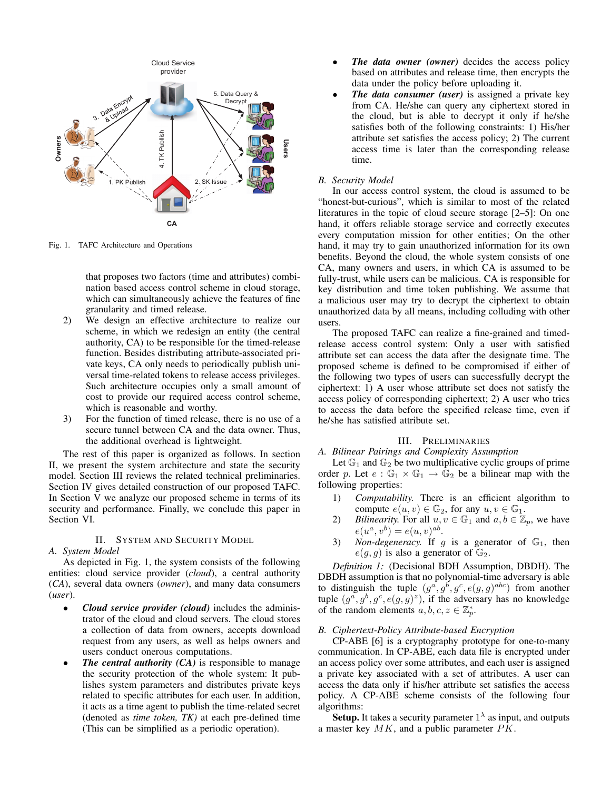

Fig. 1. TAFC Architecture and Operations

that proposes two factors (time and attributes) combination based access control scheme in cloud storage, which can simultaneously achieve the features of fine granularity and timed release.

- 2) We design an effective architecture to realize our scheme, in which we redesign an entity (the central authority, CA) to be responsible for the timed-release function. Besides distributing attribute-associated private keys, CA only needs to periodically publish universal time-related tokens to release access privileges. Such architecture occupies only a small amount of cost to provide our required access control scheme, which is reasonable and worthy.
- 3) For the function of timed release, there is no use of a secure tunnel between CA and the data owner. Thus, the additional overhead is lightweight.

The rest of this paper is organized as follows. In section II, we present the system architecture and state the security model. Section III reviews the related technical preliminaries. Section IV gives detailed construction of our proposed TAFC. In Section V we analyze our proposed scheme in terms of its security and performance. Finally, we conclude this paper in Section VI.

# II. SYSTEM AND SECURITY MODEL

#### *A. System Model*

As depicted in Fig. 1, the system consists of the following entities: cloud service provider (*cloud*), a central authority (*CA*), several data owners (*owner*), and many data consumers (*user*).

- *Cloud service provider (cloud)* includes the administrator of the cloud and cloud servers. The cloud stores a collection of data from owners, accepts download request from any users, as well as helps owners and users conduct onerous computations.
- *The central authority (CA)* is responsible to manage the security protection of the whole system: It publishes system parameters and distributes private keys related to specific attributes for each user. In addition, it acts as a time agent to publish the time-related secret (denoted as *time token, TK)* at each pre-defined time (This can be simplified as a periodic operation).
- *The data owner (owner)* decides the access policy based on attributes and release time, then encrypts the data under the policy before uploading it.
- *The data consumer (user)* is assigned a private key from CA. He/she can query any ciphertext stored in the cloud, but is able to decrypt it only if he/she satisfies both of the following constraints: 1) His/her attribute set satisfies the access policy; 2) The current access time is later than the corresponding release time.

## *B. Security Model*

In our access control system, the cloud is assumed to be "honest-but-curious", which is similar to most of the related literatures in the topic of cloud secure storage [2–5]: On one hand, it offers reliable storage service and correctly executes every computation mission for other entities; On the other hand, it may try to gain unauthorized information for its own benefits. Beyond the cloud, the whole system consists of one CA, many owners and users, in which CA is assumed to be fully-trust, while users can be malicious. CA is responsible for key distribution and time token publishing. We assume that a malicious user may try to decrypt the ciphertext to obtain unauthorized data by all means, including colluding with other users.

The proposed TAFC can realize a fine-grained and timedrelease access control system: Only a user with satisfied attribute set can access the data after the designate time. The proposed scheme is defined to be compromised if either of the following two types of users can successfully decrypt the ciphertext: 1) A user whose attribute set does not satisfy the access policy of corresponding ciphertext; 2) A user who tries to access the data before the specified release time, even if he/she has satisfied attribute set.

# III. PRELIMINARIES

# *A. Bilinear Pairings and Complexity Assumption*

Let  $\mathbb{G}_1$  and  $\mathbb{G}_2$  be two multiplicative cyclic groups of prime order p. Let  $e : \mathbb{G}_1 \times \mathbb{G}_1 \to \mathbb{G}_2$  be a bilinear map with the following properties:

- 1) *Computability.* There is an efficient algorithm to compute  $e(u, v) \in \mathbb{G}_2$ , for any  $u, v \in \mathbb{G}_1$ .
- 2) *Bilinearity.* For all  $u, v \in \mathbb{G}_1$  and  $a, b \in \mathbb{Z}_p$ , we have  $e(u^{a}, v^{b}) = e(u, v)^{ab}.$
- 3) *Non-degeneracy*. If  $g$  is a generator of  $\mathbb{G}_1$ , then  $e(g, g)$  is also a generator of  $\mathbb{G}_2$ .

*Definition 1:* (Decisional BDH Assumption, DBDH). The DBDH assumption is that no polynomial-time adversary is able to distinguish the tuple  $(g^a, g^b, g^c, e(g, g)^{abc})$  from another tuple  $(g^a, g^b, g^c, e(g, g)^z)$ , if the adversary has no knowledge of the random elements  $a, b, c, z \in \mathbb{Z}_p^*$ .

# *B. Ciphertext-Policy Attribute-based Encryption*

CP-ABE [6] is a cryptography prototype for one-to-many communication. In CP-ABE, each data file is encrypted under an access policy over some attributes, and each user is assigned a private key associated with a set of attributes. A user can access the data only if his/her attribute set satisfies the access policy. A CP-ABE scheme consists of the following four algorithms:

**Setup.** It takes a security parameter  $1^{\lambda}$  as input, and outputs a master key  $MK$ , and a public parameter  $PK$ .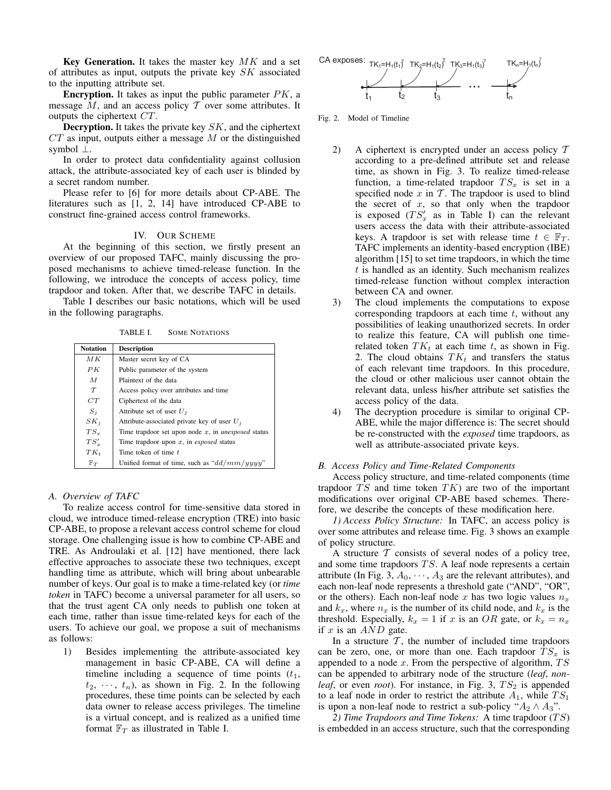**Key Generation.** It takes the master key MK and a set of attributes as input, outputs the private key  $SK$  associated to the inputting attribute set.

**Encryption.** It takes as input the public parameter  $PK$ , a message  $M$ , and an access policy  $T$  over some attributes. It outputs the ciphertext CT.

**Decryption.** It takes the private key SK, and the ciphertext  $CT$  as input, outputs either a message M or the distinguished symbol ⊥.

In order to protect data confidentiality against collusion attack, the attribute-associated key of each user is blinded by a secret random number.

Please refer to [6] for more details about CP-ABE. The literatures such as [1, 2, 14] have introduced CP-ABE to construct fine-grained access control frameworks.

# IV. OUR SCHEME

At the beginning of this section, we firstly present an overview of our proposed TAFC, mainly discussing the proposed mechanisms to achieve timed-release function. In the following, we introduce the concepts of access policy, time trapdoor and token. After that, we describe TAFC in details.

Table I describes our basic notations, which will be used in the following paragraphs.

TABLE I. SOME NOTATIONS

| <b>Notation</b> | <b>Description</b>                                           |
|-----------------|--------------------------------------------------------------|
| МK              | Master secret key of CA                                      |
| PK              | Public parameter of the system                               |
| $\overline{M}$  | Plaintext of the data                                        |
| $\tau$          | Access policy over attributes and time                       |
| CT              | Ciphertext of the data                                       |
| $S_i$           | Attribute set of user $U_i$                                  |
| $SK_i$          | Attribute-associated private key of user $U_i$               |
| $TS_r$          | Time trapdoor set upon node $x$ , in <i>unexposed</i> status |
| $TS'_x$         | Time trapdoor upon $x$ , in <i>exposed</i> status            |
| $TK_t$          | Time token of time t                                         |
| $\mathbb{F}_T$  | Unified format of time, such as " $dd/mm/yyyy"$              |

#### *A. Overview of TAFC*

To realize access control for time-sensitive data stored in cloud, we introduce timed-release encryption (TRE) into basic CP-ABE, to propose a relevant access control scheme for cloud storage. One challenging issue is how to combine CP-ABE and TRE. As Androulaki et al. [12] have mentioned, there lack effective approaches to associate these two techniques, except handling time as attribute, which will bring about unbearable number of keys. Our goal is to make a time-related key (or *time token* in TAFC) become a universal parameter for all users, so that the trust agent CA only needs to publish one token at each time, rather than issue time-related keys for each of the users. To achieve our goal, we propose a suit of mechanisms as follows:

1) Besides implementing the attribute-associated key management in basic CP-ABE, CA will define a timeline including a sequence of time points  $(t_1,$  $t_2, \dots, t_n$ , as shown in Fig. 2. In the following procedures, these time points can be selected by each data owner to release access privileges. The timeline is a virtual concept, and is realized as a unified time format  $\mathbb{F}_T$  as illustrated in Table I.



Fig. 2. Model of Timeline

- 2) A ciphertext is encrypted under an access policy T according to a pre-defined attribute set and release time, as shown in Fig. 3. To realize timed-release function, a time-related trapdoor  $TS_x$  is set in a specified node  $x$  in  $T$ . The trapdoor is used to blind the secret of  $x$ , so that only when the trapdoor is exposed  $(TS'_x$  as in Table I) can the relevant users access the data with their attribute-associated keys. A trapdoor is set with release time  $t \in \mathbb{F}_T$ . TAFC implements an identity-based encryption (IBE) algorithm [15] to set time trapdoors, in which the time t is handled as an identity. Such mechanism realizes timed-release function without complex interaction between CA and owner.
- 3) The cloud implements the computations to expose corresponding trapdoors at each time  $t$ , without any possibilities of leaking unauthorized secrets. In order to realize this feature, CA will publish one timerelated token  $TK_t$  at each time t, as shown in Fig. 2. The cloud obtains  $TK_t$  and transfers the status of each relevant time trapdoors. In this procedure, the cloud or other malicious user cannot obtain the relevant data, unless his/her attribute set satisfies the access policy of the data.
- 4) The decryption procedure is similar to original CP-ABE, while the major difference is: The secret should be re-constructed with the *exposed* time trapdoors, as well as attribute-associated private keys.

# *B. Access Policy and Time-Related Components*

Access policy structure, and time-related components (time trapdoor  $TS$  and time token  $TK$ ) are two of the important modifications over original CP-ABE based schemes. Therefore, we describe the concepts of these modification here.

*1) Access Policy Structure:* In TAFC, an access policy is over some attributes and release time. Fig. 3 shows an example of policy structure.

A structure  $T$  consists of several nodes of a policy tree, and some time trapdoors  $TS$ . A leaf node represents a certain attribute (In Fig. 3,  $A_0$ ,  $\dots$ ,  $A_3$  are the relevant attributes), and each non-leaf node represents a threshold gate ("AND", "OR", or the others). Each non-leaf node x has two logic values  $n_x$ and  $k_x$ , where  $n_x$  is the number of its child node, and  $k_x$  is the threshold. Especially,  $k_x = 1$  if x is an OR gate, or  $k_x = n_x$ if  $x$  is an  $AND$  gate.

In a structure  $\mathcal{T}$ , the number of included time trapdoors can be zero, one, or more than one. Each trapdoor  $TS_x$  is appended to a node  $x$ . From the perspective of algorithm,  $TS$ can be appended to arbitrary node of the structure (*leaf*, *nonleaf*, or even *root*). For instance, in Fig. 3,  $TS_2$  is appended to a leaf node in order to restrict the attribute  $A_1$ , while  $TS_1$ is upon a non-leaf node to restrict a sub-policy " $A_2 \wedge A_3$ ".

2) Time Trapdoors and Time Tokens: A time trapdoor (TS) is embedded in an access structure, such that the corresponding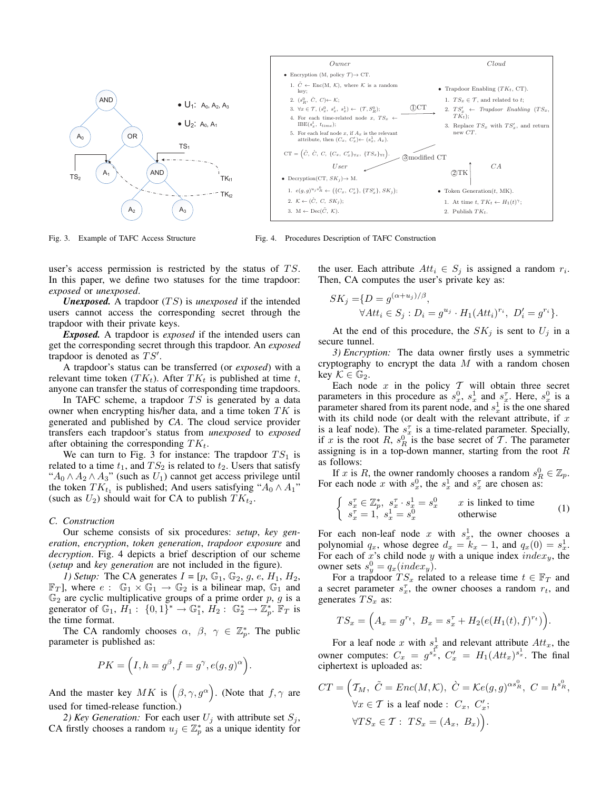

Fig. 3. Example of TAFC Access Structure

Fig. 4. Procedures Description of TAFC Construction

user's access permission is restricted by the status of  $TS$ . In this paper, we define two statuses for the time trapdoor: *exposed* or *unexposed*.

*Unexposed.* A trapdoor  $(TS)$  is *unexposed* if the intended users cannot access the corresponding secret through the trapdoor with their private keys.

*Exposed.* A trapdoor is *exposed* if the intended users can get the corresponding secret through this trapdoor. An *exposed* trapdoor is denoted as  $TS'$ .

A trapdoor's status can be transferred (or *exposed*) with a relevant time token  $(TK_t)$ . After  $TK_t$  is published at time t, anyone can transfer the status of corresponding time trapdoors.

In TAFC scheme, a trapdoor  $TS$  is generated by a data owner when encrypting his/her data, and a time token  $TK$  is generated and published by *CA*. The cloud service provider transfers each trapdoor's status from *unexposed* to *exposed* after obtaining the corresponding  $TK_t$ .

We can turn to Fig. 3 for instance: The trapdoor  $TS_1$  is related to a time  $t_1$ , and  $TS_2$  is related to  $t_2$ . Users that satisfy " $A_0 \wedge A_2 \wedge A_3$ " (such as  $U_1$ ) cannot get access privilege until the token  $TK_{t_1}$  is published; And users satisfying " $A_0 \wedge A_1$ " (such as  $U_2$ ) should wait for CA to publish  $TK_{t_2}$ .

#### *C. Construction*

Our scheme consists of six procedures: *setup*, *key generation*, *encryption*, *token generation*, *trapdoor exposure* and *decryption*. Fig. 4 depicts a brief description of our scheme (*setup* and *key generation* are not included in the figure).

*1) Setup:* The CA generates  $I = [p, \mathbb{G}_1, \mathbb{G}_2, g, e, H_1, H_2,$  $\mathbb{F}_T$ , where  $e: \mathbb{G}_1 \times \mathbb{G}_1 \to \mathbb{G}_2$  is a bilinear map,  $\mathbb{G}_1$  and  $\mathbb{G}_2$  are cyclic multiplicative groups of a prime order p, g is a generator of  $\mathbb{G}_1$ ,  $H_1$ :  $\{0,1\}^* \to \mathbb{G}_1^*$ ,  $H_2$ :  $\mathbb{G}_2^* \to \mathbb{Z}_p^*$ .  $\mathbb{F}_T$  is the time format.

The CA randomly chooses  $\alpha$ ,  $\beta$ ,  $\gamma \in \mathbb{Z}_n^*$ . The public parameter is published as:

$$
PK = (I, h = g^{\beta}, f = g^{\gamma}, e(g, g)^{\alpha}).
$$

And the master key  $MK$  is  $(\beta, \gamma, g^{\alpha})$ . (Note that  $f, \gamma$  are used for timed-release function.)

2) Key Generation: For each user  $U_i$  with attribute set  $S_i$ , CA firstly chooses a random  $u_j \in \mathbb{Z}_p^*$  as a unique identity for the user. Each attribute  $Att_i \in S_i$  is assigned a random  $r_i$ . Then, CA computes the user's private key as:

$$
SK_j = \{D = g^{(\alpha + u_j)/\beta}, \forall At t_i \in S_j : D_i = g^{u_j} \cdot H_1(At t_i)^{r_i}, D'_i = g^{r_i}\}.
$$

At the end of this procedure, the  $SK_i$  is sent to  $U_i$  in a secure tunnel.

*3) Encryption:* The data owner firstly uses a symmetric cryptography to encrypt the data  $M$  with a random chosen key  $\mathcal{K} \in \mathbb{G}_2$ .

Each node  $x$  in the policy  $T$  will obtain three secret parameters in this procedure as  $s_x^0$ ,  $s_x^1$  and  $s_x^7$ . Here,  $s_x^0$  is a parameter shared from its parent node, and  $s_x^1$  is the one shared with its child node (or dealt with the relevant attribute, if  $x$ is a leaf node). The  $s_x^{\tau}$  is a time-related parameter. Specially, if x is the root R,  $s_R^0$  is the base secret of T. The parameter assigning is in a top-down manner, starting from the root  $R$ as follows:

If x is R, the owner randomly chooses a random  $s_R^0 \in \mathbb{Z}_p$ . For each node x with  $s_x^0$ , the  $s_x^1$  and  $s_x^{\tau}$  are chosen as:

$$
\begin{cases}\n s_x^{\tau} \in \mathbb{Z}_p^*, \ s_x^{\tau} \cdot s_x^1 = s_x^0 & x \text{ is linked to time} \\
s_x^{\tau} = 1, \ s_x^1 = s_x^0 & \text{otherwise}\n\end{cases} (1)
$$

For each non-leaf node x with  $s_x^1$ , the owner chooses a polynomial  $q_x$ , whose degree  $d_x = k_x - 1$ , and  $q_x(0) = s_x^1$ . For each of x's child node y with a unique index  $index_y$ , the owner sets  $s_y^0 = q_x(index_y)$ .

For a trapdoor  $TS_x$  related to a release time  $t \in \mathbb{F}_T$  and a secret parameter  $s_x^{\tau}$ , the owner chooses a random  $r_t$ , and generates  $TS_x$  as:

$$
TS_x = \Big( A_x = g^{r_t}, \ B_x = s_x^{\tau} + H_2(e(H_1(t), f)^{r_t}) \Big).
$$

For a leaf node x with  $s_x^1$  and relevant attribute  $Att_x$ , the owner computes:  $C_x = g^{s_x^T}$ ,  $C'_x = H_1(Att_x)^{s_x^1}$ . The final ciphertext is uploaded as:

$$
CT = \left(T_M, \ \tilde{C} = Enc(M, \mathcal{K}), \ \dot{C} = \mathcal{K}e(g, g)^{\alpha s_R^0}, \ C = h^{s_R^0}, \right)
$$
  

$$
\forall x \in \mathcal{T} \text{ is a leaf node}: C_x, C'_x;
$$
  

$$
\forall TS_x \in \mathcal{T}: TS_x = (A_x, B_x)\right).
$$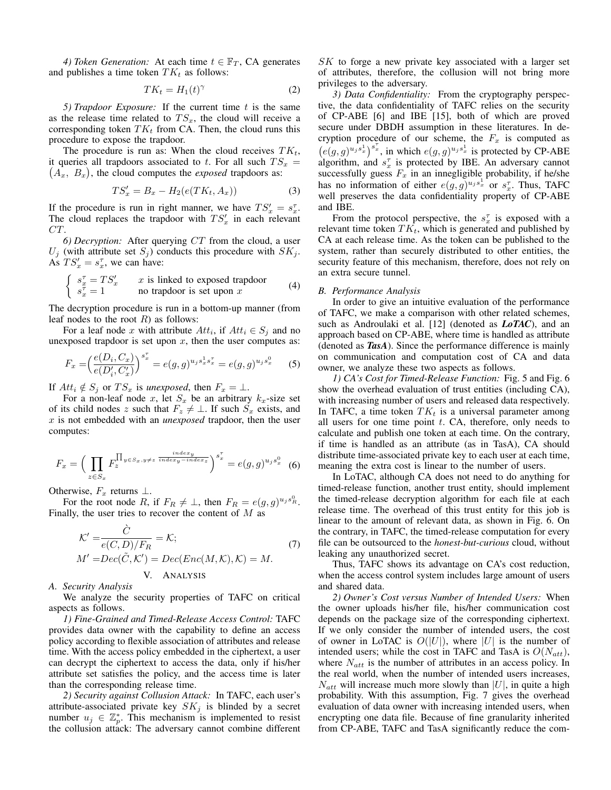*4) Token Generation:* At each time  $t \in \mathbb{F}_T$ , CA generates and publishes a time token  $TK_t$  as follows:

$$
TK_t = H_1(t)^\gamma \tag{2}
$$

*5) Trapdoor Exposure:* If the current time t is the same as the release time related to  $TS_x$ , the cloud will receive a corresponding token  $TK_t$  from CA. Then, the cloud runs this procedure to expose the trapdoor.

The procedure is run as: When the cloud receives  $TK_t$ , it queries all trapdoors associated to t. For all such  $TS_x =$  $(A_x, B_x)$ , the cloud computes the *exposed* trapdoors as:

$$
TS_x' = B_x - H_2(e(TK_t, A_x))
$$
\n<sup>(3)</sup>

If the procedure is run in right manner, we have  $TS'_x = s_x^{\tau}$ . The cloud replaces the trapdoor with  $TS'_x$  in each relevant CT.

*6) Decryption:* After querying CT from the cloud, a user  $U_j$  (with attribute set  $S_j$ ) conducts this procedure with  $SK_j$ . As  $TS'_x = s_x^{\tau}$ , we can have:

$$
\begin{cases}\n s_x^{\tau} = TS'_x & x \text{ is linked to exposed trapdoor} \\
s_x^{\tau} = 1 & \text{no trapdoor is set upon } x\n\end{cases}
$$
\n(4)

The decryption procedure is run in a bottom-up manner (from leaf nodes to the root  $R$ ) as follows:

For a leaf node x with attribute  $Att_i$ , if  $Att_i \in S_i$  and no unexposed trapdoor is set upon  $x$ , then the user computes as:

$$
F_x = \left(\frac{e(D_i, C_x)}{e(D_i', C_x')}\right)^{s_x^{\tau}} = e(g, g)^{u_j s_x^1 s_x^{\tau}} = e(g, g)^{u_j s_x^0} \tag{5}
$$

If  $Att_i \notin S_j$  or  $TS_x$  is *unexposed*, then  $F_x = \perp$ .

For a non-leaf node x, let  $S_x$  be an arbitrary  $k_x$ -size set of its child nodes z such that  $F_z \neq \perp$ . If such  $S_x$  exists, and x is not embedded with an *unexposed* trapdoor, then the user computes:

$$
F_x = \left(\prod_{z \in S_x} F_z^{\prod_{y \in S_x, y \neq z} \frac{index_y}{index_y - index_z}}\right)^{s_x^{\tau}} = e(g, g)^{u_j s_x^0} \tag{6}
$$

Otherwise,  $F_x$  returns  $\perp$ .

For the root node R, if  $F_R \neq \perp$ , then  $F_R = e(g, g)^{u_j s_R^0}$ . Finally, the user tries to recover the content of  $M$  as

$$
\mathcal{K}' = \frac{\dot{C}}{e(C, D)/F_R} = \mathcal{K};
$$
\n
$$
M' = Dec(\tilde{C}, \mathcal{K}') = Dec(Enc(M, \mathcal{K}), \mathcal{K}) = M.
$$
\n
$$
V. \quad \text{ANALYSIS}
$$
\n(7)

## *A. Security Analysis*

We analyze the security properties of TAFC on critical aspects as follows.

*1) Fine-Grained and Timed-Release Access Control:* TAFC provides data owner with the capability to define an access policy according to flexible association of attributes and release time. With the access policy embedded in the ciphertext, a user can decrypt the ciphertext to access the data, only if his/her attribute set satisfies the policy, and the access time is later than the corresponding release time.

*2) Security against Collusion Attack:* In TAFC, each user's attribute-associated private key  $SK_j$  is blinded by a secret number  $u_j \in \mathbb{Z}_p^*$ . This mechanism is implemented to resist the collusion attack: The adversary cannot combine different

SK to forge a new private key associated with a larger set of attributes, therefore, the collusion will not bring more privileges to the adversary.

*3) Data Confidentiality:* From the cryptography perspective, the data confidentiality of TAFC relies on the security of CP-ABE [6] and IBE [15], both of which are proved secure under DBDH assumption in these literatures. In decryption procedure of our scheme, the  $F_x$  is computed as  $(e(g, g)^{u_j s_x^1})^{s_x^1}$ , in which  $e(g, g)^{u_j s_x^1}$  is protected by CP-ABE algorithm, and  $s_x^{\tau}$  is protected by IBE. An adversary cannot successfully guess  $F_x$  in an innegligible probability, if he/she has no information of either  $e(g, g)^{u_j s_x^1}$  or  $s_x^{\tau}$ . Thus, TAFC well preserves the data confidentiality property of CP-ABE and IBE.

From the protocol perspective, the  $s_x^{\tau}$  is exposed with a relevant time token  $TK_t$ , which is generated and published by CA at each release time. As the token can be published to the system, rather than securely distributed to other entities, the security feature of this mechanism, therefore, does not rely on an extra secure tunnel.

#### *B. Performance Analysis*

In order to give an intuitive evaluation of the performance of TAFC, we make a comparison with other related schemes, such as Androulaki et al. [12] (denoted as *LoTAC*), and an approach based on CP-ABE, where time is handled as attribute (denoted as *TasA*). Since the performance difference is mainly on communication and computation cost of CA and data owner, we analyze these two aspects as follows.

*1) CA's Cost for Timed-Release Function:* Fig. 5 and Fig. 6 show the overhead evaluation of trust entities (including CA), with increasing number of users and released data respectively. In TAFC, a time token  $TK_t$  is a universal parameter among all users for one time point  $t$ . CA, therefore, only needs to calculate and publish one token at each time. On the contrary, if time is handled as an attribute (as in TasA), CA should distribute time-associated private key to each user at each time, meaning the extra cost is linear to the number of users.

In LoTAC, although CA does not need to do anything for timed-release function, another trust entity, should implement the timed-release decryption algorithm for each file at each release time. The overhead of this trust entity for this job is linear to the amount of relevant data, as shown in Fig. 6. On the contrary, in TAFC, the timed-release computation for every file can be outsourced to the *honest-but-curious* cloud, without leaking any unauthorized secret.

Thus, TAFC shows its advantage on CA's cost reduction, when the access control system includes large amount of users and shared data.

*2) Owner's Cost versus Number of Intended Users:* When the owner uploads his/her file, his/her communication cost depends on the package size of the corresponding ciphertext. If we only consider the number of intended users, the cost of owner in LoTAC is  $O(|U|)$ , where |U| is the number of intended users; while the cost in TAFC and TasA is  $O(N_{att})$ , where  $N_{att}$  is the number of attributes in an access policy. In the real world, when the number of intended users increases,  $N_{att}$  will increase much more slowly than |U|, in quite a high probability. With this assumption, Fig. 7 gives the overhead evaluation of data owner with increasing intended users, when encrypting one data file. Because of fine granularity inherited from CP-ABE, TAFC and TasA significantly reduce the com-